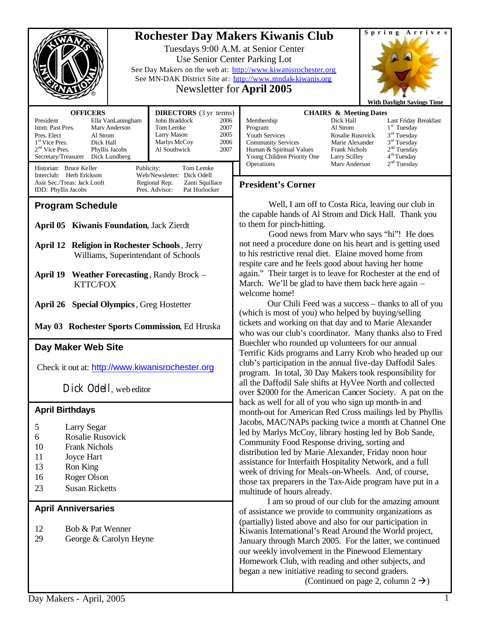|                                                                                                                           |                                              | <b>Rochester Day Makers Kiwanis Club</b><br>Tuesdays 9:00 A.M. at Senior Center                                        | Spring Arrives                                     |
|---------------------------------------------------------------------------------------------------------------------------|----------------------------------------------|------------------------------------------------------------------------------------------------------------------------|----------------------------------------------------|
|                                                                                                                           |                                              | Use Senior Center Parking Lot                                                                                          |                                                    |
|                                                                                                                           |                                              | See Day Makers on the web at: http://www.kiwanisrochester.org                                                          |                                                    |
|                                                                                                                           |                                              | See MN-DAK District Site at: http://www.mndak-kiwanis.org<br>Newsletter for April 2005                                 |                                                    |
|                                                                                                                           |                                              |                                                                                                                        |                                                    |
| <b>OFFICERS</b>                                                                                                           | <b>DIRECTORS</b> (3 yr terms)                | <b>CHAIRS &amp; Meeting Dates</b>                                                                                      | <b>With Daylight Savings Time</b>                  |
| President<br>Ella VanLaningham                                                                                            | John Braddock<br>2006                        | Membership<br>Dick Hall                                                                                                | Last Friday Breakfast                              |
| Imm. Past Pres.<br>Mary Anderson<br>Pres. Elect<br>Al Strom                                                               | Tom Lemke<br>2007<br>Larry Mason<br>2005     | Al Strom<br>Program<br>Youth Services<br>Rosalie Rusovick                                                              | $1st$ Tuesday<br>$3rd$ Tuesday                     |
| 1 <sup>st</sup> Vice Pres.<br>Dick Hall<br>2 <sup>nd</sup> Vice Pres.<br>Phyllis Jacobs                                   | 2006<br>Marlys McCoy<br>Al Southwick<br>2007 | <b>Community Services</b><br>Marie Alexander<br>Human & Spiritual Values<br><b>Frank Nichols</b>                       | 3 <sup>rd</sup> Tuesday<br>2 <sup>nd</sup> Tuesday |
| Secretary/Treasurer<br>Dick Lundberg                                                                                      |                                              | Young Children Priority One<br>Larry Scilley<br>Operations<br>Mary Anderson                                            | 4 <sup>th</sup> Tuesday<br>2 <sup>nd</sup> Tuesday |
| Historian: Bruce Keller<br>Publicity:<br>Tom Lemke<br>Interclub: Herb Erickson<br>Web/Newsletter: Dick Odell              |                                              |                                                                                                                        |                                                    |
| Asst Sec./Treas: Jack Looft<br>Regional Rep:<br>Zanti Squillace<br>Pres. Advisor:<br>Pat Horlocker<br>IDD: Phyllis Jacobs |                                              | <b>President's Corner</b>                                                                                              |                                                    |
| <b>Program Schedule</b>                                                                                                   |                                              | Well, I am off to Costa Rica, leaving our club in                                                                      |                                                    |
|                                                                                                                           |                                              | the capable hands of Al Strom and Dick Hall. Thank you                                                                 |                                                    |
| <b>April 05 Kiwanis Foundation, Jack Zierdt</b>                                                                           |                                              | to them for pinch-hitting.<br>Good news from Marv who says "hi"! He does                                               |                                                    |
| <b>April 12 Religion in Rochester Schools</b> , Jerry                                                                     |                                              | not need a procedure done on his heart and is getting used                                                             |                                                    |
| Williams, Superintendant of Schools                                                                                       |                                              | to his restrictive renal diet. Elaine moved home from                                                                  |                                                    |
|                                                                                                                           |                                              | respite care and he feels good about having her home                                                                   |                                                    |
| April 19 Weather Forecasting, Randy Brock -<br><b>KTTC/FOX</b>                                                            |                                              | again." Their target is to leave for Rochester at the end of<br>March. We'll be glad to have them back here again –    |                                                    |
|                                                                                                                           |                                              | welcome home!                                                                                                          |                                                    |
| <b>April 26 Special Olympics</b> , Greg Hostetter                                                                         |                                              | Our Chili Feed was a success – thanks to all of you                                                                    |                                                    |
|                                                                                                                           |                                              | (which is most of you) who helped by buying/selling                                                                    |                                                    |
| May 03 Rochester Sports Commission, Ed Hruska                                                                             |                                              | tickets and working on that day and to Marie Alexander<br>who was our club's coordinator. Many thanks also to Fred     |                                                    |
| Day Maker Web Site                                                                                                        |                                              | Buechler who rounded up volunteers for our annual<br>Terrific Kids programs and Larry Krob who headed up our           |                                                    |
|                                                                                                                           |                                              |                                                                                                                        |                                                    |
| Check it out at: http://www.kiwanisrochester.org                                                                          |                                              | club's participation in the annual five-day Daffodil Sales<br>program. In total, 30 Day Makers took responsibility for |                                                    |
| Dick Odell, web editor                                                                                                    |                                              | all the Daffodil Sale shifts at HyVee North and collected                                                              |                                                    |
|                                                                                                                           |                                              | over \$2000 for the American Cancer Society. A pat on the<br>back as well for all of you who sign up month-in and      |                                                    |
| <b>April Birthdays</b>                                                                                                    |                                              | month-out for American Red Cross mailings led by Phyllis                                                               |                                                    |
| 5<br>Larry Segar                                                                                                          |                                              | Jacobs, MAC/NAPs packing twice a month at Channel One                                                                  |                                                    |
| Rosalie Rusovick<br>6                                                                                                     |                                              | led by Marlys McCoy, library hosting led by Bob Sande,                                                                 |                                                    |
| 10<br><b>Frank Nichols</b>                                                                                                |                                              | Community Food Response driving, sorting and<br>distribution led by Marie Alexander, Friday noon hour                  |                                                    |
| 11<br>Joyce Hart                                                                                                          |                                              | assistance for Interfaith Hospitality Network, and a full                                                              |                                                    |
| 13<br>Ron King<br>Roger Olson<br>16                                                                                       |                                              | week of driving for Meals-on-Wheels. And, of course,                                                                   |                                                    |
| <b>Susan Ricketts</b><br>23                                                                                               |                                              | those tax preparers in the Tax-Aide program have put in a                                                              |                                                    |
|                                                                                                                           |                                              | multitude of hours already.<br>I am so proud of our club for the amazing amount                                        |                                                    |
| <b>April Anniversaries</b>                                                                                                |                                              | of assistance we provide to community organizations as                                                                 |                                                    |
|                                                                                                                           |                                              | (partially) listed above and also for our participation in                                                             |                                                    |
| 12<br>Bob & Pat Wenner<br>29<br>George & Carolyn Heyne                                                                    |                                              | Kiwanis International's Read Around the World project,                                                                 |                                                    |
|                                                                                                                           |                                              | January through March 2005. For the latter, we continued<br>our weekly involvement in the Pinewood Elementary          |                                                    |
|                                                                                                                           |                                              | Homework Club, with reading and other subjects, and                                                                    |                                                    |

began a new initiative reading to second graders.

(Continued on page 2, column  $2 \rightarrow$ )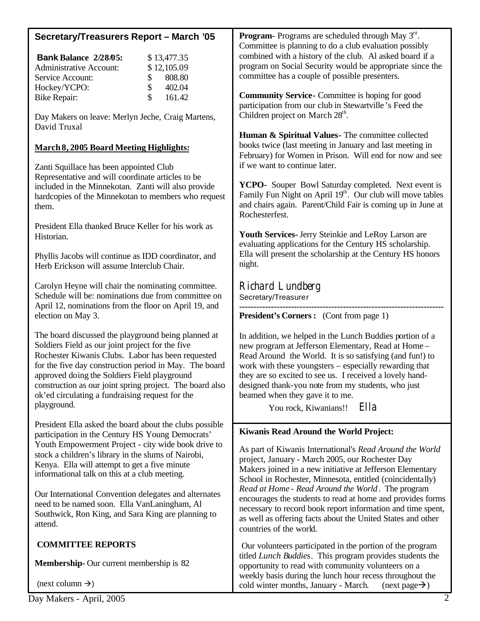| Secretary/Treasurers Report - March '05                           | Program- Programs are scheduled through May 3rd.<br>Committee is planning to do a club evaluation possibly       |  |
|-------------------------------------------------------------------|------------------------------------------------------------------------------------------------------------------|--|
| <b>Bank Balance 2/28/05:</b><br>\$13,477.35                       | combined with a history of the club. Al asked board if a                                                         |  |
|                                                                   | program on Social Security would be appropriate since the                                                        |  |
| \$12,105.09<br><b>Administrative Account:</b>                     |                                                                                                                  |  |
| 808.80<br>Service Account:<br>\$                                  | committee has a couple of possible presenters.                                                                   |  |
| \$<br>Hockey/YCPO:<br>402.04                                      |                                                                                                                  |  |
| \$<br>161.42<br><b>Bike Repair:</b>                               | <b>Community Service-</b> Committee is hoping for good<br>participation from our club in Stewartville's Feed the |  |
| Day Makers on leave: Merlyn Jeche, Craig Martens,<br>David Truxal | Children project on March 28 <sup>th</sup> .                                                                     |  |
|                                                                   | Human & Spiritual Values - The committee collected                                                               |  |
|                                                                   | books twice (last meeting in January and last meeting in                                                         |  |
| <b>March 8, 2005 Board Meeting Highlights:</b>                    |                                                                                                                  |  |
|                                                                   | February) for Women in Prison. Will end for now and see                                                          |  |
| Zanti Squillace has been appointed Club                           | if we want to continue later.                                                                                    |  |
| Representative and will coordinate articles to be                 |                                                                                                                  |  |
| included in the Minnekotan. Zanti will also provide               | YCPO- Souper Bowl Saturday completed. Next event is                                                              |  |
| hardcopies of the Minnekotan to members who request               | Family Fun Night on April 19 <sup>th</sup> . Our club will move tables                                           |  |
|                                                                   | and chairs again. Parent/Child Fair is coming up in June at                                                      |  |
| them.                                                             | Rochesterfest.                                                                                                   |  |
|                                                                   |                                                                                                                  |  |
| President Ella thanked Bruce Keller for his work as               |                                                                                                                  |  |
| Historian.                                                        | Youth Services- Jerry Steinkie and LeRoy Larson are                                                              |  |
|                                                                   | evaluating applications for the Century HS scholarship.                                                          |  |
| Phyllis Jacobs will continue as IDD coordinator, and              | Ella will present the scholarship at the Century HS honors                                                       |  |
| Herb Erickson will assume Interclub Chair.                        | night.                                                                                                           |  |
|                                                                   |                                                                                                                  |  |
|                                                                   |                                                                                                                  |  |
| Carolyn Heyne will chair the nominating committee.                | Richard Lundberg                                                                                                 |  |
| Schedule will be: nominations due from committee on               | Secretary/Treasurer                                                                                              |  |
| April 12, nominations from the floor on April 19, and             |                                                                                                                  |  |
| election on May 3.                                                | <b>President's Corners:</b> (Cont from page 1)                                                                   |  |
|                                                                   |                                                                                                                  |  |
| The board discussed the playground being planned at               | In addition, we helped in the Lunch Buddies portion of a                                                         |  |
| Soldiers Field as our joint project for the five                  |                                                                                                                  |  |
|                                                                   | new program at Jefferson Elementary, Read at Home -                                                              |  |
| Rochester Kiwanis Clubs. Labor has been requested                 | Read Around the World. It is so satisfying (and fun!) to                                                         |  |
| for the five day construction period in May. The board            | work with these youngsters – especially rewarding that                                                           |  |
| approved doing the Soldiers Field playground                      | they are so excited to see us. I received a lovely hand-                                                         |  |
| construction as our joint spring project. The board also          | designed thank-you note from my students, who just                                                               |  |
| ok'ed circulating a fundraising request for the                   | beamed when they gave it to me.                                                                                  |  |
| playground.                                                       |                                                                                                                  |  |
|                                                                   | Ella<br>You rock, Kiwanians!!                                                                                    |  |
|                                                                   |                                                                                                                  |  |
| President Ella asked the board about the clubs possible           | <b>Kiwanis Read Around the World Project:</b>                                                                    |  |
| participation in the Century HS Young Democrats'                  |                                                                                                                  |  |
| Youth Empowerment Project - city wide book drive to               | As part of Kiwanis International's Read Around the World                                                         |  |
| stock a children's library in the slums of Nairobi,               | project, January - March 2005, our Rochester Day                                                                 |  |
| Kenya. Ella will attempt to get a five minute                     |                                                                                                                  |  |
| informational talk on this at a club meeting.                     | Makers joined in a new initiative at Jefferson Elementary                                                        |  |
|                                                                   | School in Rochester, Minnesota, entitled (coincidentally)                                                        |  |
|                                                                   | Read at Home - Read Around the World. The program                                                                |  |
| Our International Convention delegates and alternates             | encourages the students to read at home and provides forms                                                       |  |
| need to be named soon. Ella VanLaningham, Al                      | necessary to record book report information and time spent,                                                      |  |
| Southwick, Ron King, and Sara King are planning to                | as well as offering facts about the United States and other                                                      |  |
| attend.                                                           |                                                                                                                  |  |
|                                                                   | countries of the world.                                                                                          |  |
| <b>COMMITTEE REPORTS</b>                                          | Our volunteers participated in the portion of the program                                                        |  |

Our volunteers participated in the portion of the program titled *Lunch Buddies*. This program provides students the opportunity to read with community volunteers on a weekly basis during the lunch hour recess throughout the cold winter months, January - March. (next page  $\rightarrow$ ) cold winter months, January - March.

(next column  $\rightarrow$ )

**Membership-** Our current membership is 82